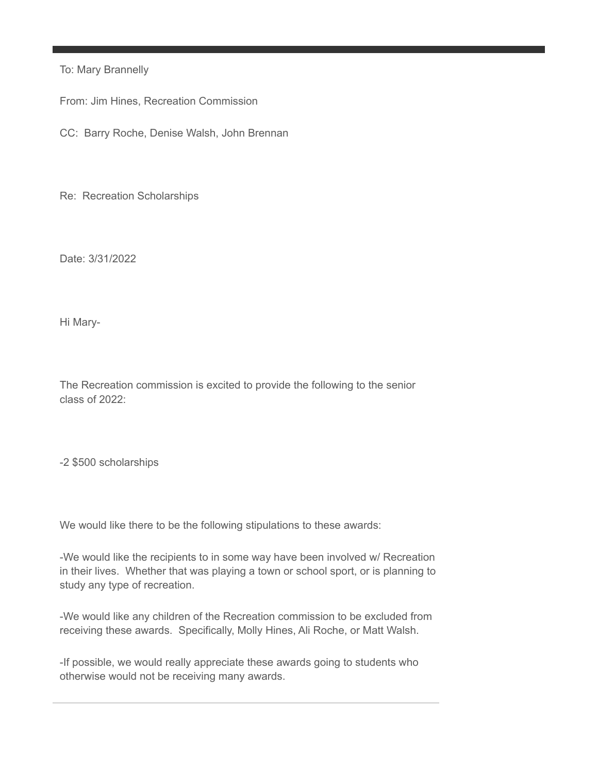To: Mary Brannelly

From: Jim Hines, Recreation Commission

CC: Barry Roche, Denise Walsh, John Brennan

Re: Recreation Scholarships

Date: 3/31/2022

Hi Mary-

The Recreation commission is excited to provide the following to the senior class of 2022:

-2 \$500 scholarships

We would like there to be the following stipulations to these awards:

-We would like the recipients to in some way have been involved w/ Recreation in their lives. Whether that was playing a town or school sport, or is planning to study any type of recreation.

-We would like any children of the Recreation commission to be excluded from receiving these awards. Specifically, Molly Hines, Ali Roche, or Matt Walsh.

-If possible, we would really appreciate these awards going to students who otherwise would not be receiving many awards.